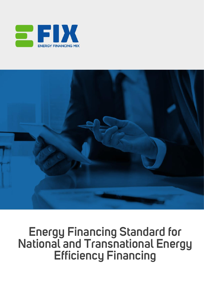



# **Energy Financing Standard for National and Transnational Energy Efficiency Financing**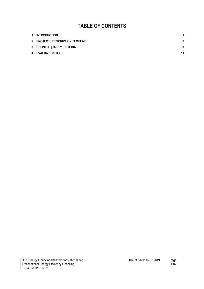## **TABLE OF CONTENTS**

| 1. INTRODUCTION                  |             |
|----------------------------------|-------------|
| 2. PROJECTS DESCRIPTION TEMPLATE | $\mathbf 2$ |
| 3. DEFINED QUALITY CRITERIA      | 8           |
| 4. EVALUATION TOOL               | 11          |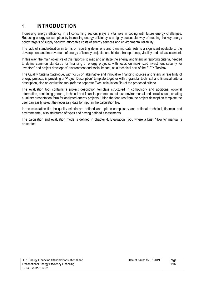## **1. INTRODUCTION**

Increasing energy efficiency in all consuming sectors plays a vital role in coping with future energy challenges. Reducing energy consumption by increasing energy efficiency is a highly successful way of meeting the key energy policy targets of supply security, affordable costs of energy services and environmental reliability.

The lack of standardization in terms of reporting definitions and dynamic data sets is a significant obstacle to the development and improvement of energy efficiency projects, and hinders transparency, viability and risk assessment.

In this way, the main objective of this report is to map and analyze the energy and financial reporting criteria, needed to define common standards for financing of energy projects, with focus on maximized investment security for investors' and project developers' environment and social impact, as a technical part of the E-FIX Toolbox.

The Quality Criteria Catalogue, with focus on alternative and innovative financing sources and financial feasibility of energy projects, is providing a "Project Description" template together with a granular technical and financial criteria description, also an evaluation tool (refer to separate Excel calculation file) of the proposed criteria.

The evaluation tool contains a project description template structured in compulsory and additional optional information, containing general, technical and financial parameters but also environmental and social issues, creating a unitary presentation form for analyzed energy projects. Using the features from the project description template the user can easily select the necessary data for input in the calculation file.

In the calculation file the quality criteria are defined and split in compulsory and optional, technical, financial and environmental, also structured of types and having defined assessments.

The calculation and evaluation mode is defined in chapter 4. Evaluation Tool, where a brief "How to" manual is presented.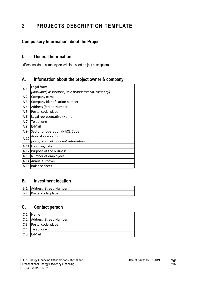## **2. PROJECTS DESCRIPTION TEMPLATE**

## **Compulsory Information about the Project**

#### **I. General Information**

(Personal data, company description, short project description)

#### **A. Information about the project owner & company**

| A.1  | Legal form                                              |  |
|------|---------------------------------------------------------|--|
|      | [individual, association, sole proprietorship, company] |  |
| A.2  | Company name                                            |  |
| A.3  | Company identification number                           |  |
| A.4  | Address (Street, Number)                                |  |
| A.5  | Postal code, place                                      |  |
| A.6  | Legal representative (Name)                             |  |
| A.7  | Telephone                                               |  |
| A.8  | E-Mail                                                  |  |
| A.9  | Sector of operation (NACE Code)                         |  |
| A.10 | Area of intervention                                    |  |
|      | [local, regional, national, international]              |  |
|      | A.11 Founding date                                      |  |
|      | A.12 Purpose of the business                            |  |
|      | A.13 Number of employees                                |  |
|      | A.14 Annual turnover                                    |  |
|      | A.15   Balance sheet                                    |  |
|      |                                                         |  |

#### **B. Investment location**

| B.1 Address (Street, Number) |
|------------------------------|
| B.2 Postal code, place       |

#### **C. Contact person**

| C.1 | <b>Name</b>                  |
|-----|------------------------------|
|     | C.2 Address (Street, Number) |
|     | C.3   Postal code, place     |
|     | $ C.4 $ Telephone            |
| C.5 | E-Mail                       |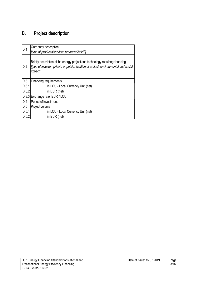## **D. Project description**

| D.1   | Company description<br>[type of products/services produced/sold?]                                                                                                                     |  |
|-------|---------------------------------------------------------------------------------------------------------------------------------------------------------------------------------------|--|
| D.2   | Briefly description of the energy project and technology requiring financing<br>Itype of investor: private or public, location of project, environmental and social<br><i>impact]</i> |  |
| D.3   | Financing requirements                                                                                                                                                                |  |
| D.3.1 | in LCU - Local Currency Unit (net)                                                                                                                                                    |  |
| D.3.2 | in EUR (net)                                                                                                                                                                          |  |
|       | D.3.3 Exchange rate EUR / LCU                                                                                                                                                         |  |
| D.4   | Period of investment                                                                                                                                                                  |  |
| D.5   | Project volume                                                                                                                                                                        |  |
| D.5.1 | in LCU - Local Currency Unit (net)                                                                                                                                                    |  |
| D.5.2 | in EUR (net)                                                                                                                                                                          |  |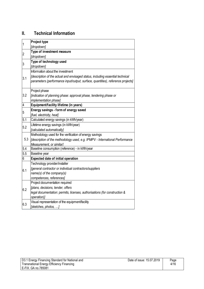## **II. Technical Information**

| 1   | <b>Project type</b>                                                             |  |
|-----|---------------------------------------------------------------------------------|--|
|     | [dropdown]                                                                      |  |
| 2   | Type of investment measure                                                      |  |
|     | [dropdown]                                                                      |  |
| 3   | Type of technology used                                                         |  |
|     | [dropdown]                                                                      |  |
|     | Information about the investment                                                |  |
| 3.1 | Idescription of the actual and envisaged status, including essential technical  |  |
|     | parameters (performance input/output, surface, quantities), reference projects] |  |
|     | Project phase                                                                   |  |
| 3.2 | findication of planning phase: approval phase, tendering phase or               |  |
|     | implementation phase]                                                           |  |
| 4   | Equipment/facility lifetime (in years)                                          |  |
| 5   | Energy savings - form of energy saved                                           |  |
|     | [fuel, electricity, heat]                                                       |  |
| 5.1 | Calculated energy savings (in kWh/year)                                         |  |
| 5.2 | Lifetime energy savings (in kWh/year)                                           |  |
|     | [calculated automatically]                                                      |  |
|     | Methodology used for the verification of energy savings                         |  |
| 5.3 | [description of the methodology used, e.g. IPMPV - International Performance    |  |
|     | Measurement, or similar]                                                        |  |
| 5.4 | Baseline consumption (reference) - in kWh/year                                  |  |
| 5.5 | Baseline year                                                                   |  |
| 6   | <b>Expected date of initial operation</b>                                       |  |
|     | Technology provider/installer                                                   |  |
| 6.1 | [general contractor or individual contractors/suppliers                         |  |
|     | name(s) of the company(s)                                                       |  |
|     | competences, references]                                                        |  |
|     | Project documentation required                                                  |  |
| 6.2 | [plans, decisions, tender, offers                                               |  |
|     | legal documentation: permits, licenses, authorisations (for construction &      |  |
|     | operation)]                                                                     |  |
| 6.3 | Visual representation of the equipment/facility                                 |  |
|     | [sketches, photos, ]                                                            |  |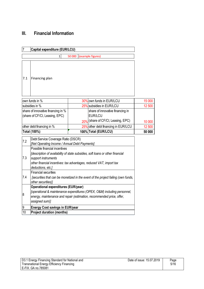## **III. Financial Information**

| $\overline{7}$<br>Capital expenditure (EUR/LCU) |                                                                                                                                                                                                                                    |        |                                                                          |        |
|-------------------------------------------------|------------------------------------------------------------------------------------------------------------------------------------------------------------------------------------------------------------------------------------|--------|--------------------------------------------------------------------------|--------|
|                                                 | $\mathbf{1}$                                                                                                                                                                                                                       | 50 000 | (example figures)                                                        |        |
| 7.1                                             | Financing plan                                                                                                                                                                                                                     |        |                                                                          |        |
|                                                 | own funds in %                                                                                                                                                                                                                     |        | 30% own funds in EUR/LCU                                                 | 15 000 |
|                                                 | subsidies in %                                                                                                                                                                                                                     |        | 25% subsidies in EUR/LCU                                                 | 12 500 |
|                                                 | share of innovative financing in %<br>(share of CF/CI, Leasing, EPC)                                                                                                                                                               |        | share of innovative financing in<br>EUR/LCU                              |        |
|                                                 |                                                                                                                                                                                                                                    |        | 20% (share of CF/CI, Leasing, EPC)                                       | 10 000 |
|                                                 | other debt financing in %                                                                                                                                                                                                          |        | 25% other debt financing in EUR/LCU                                      | 12 500 |
|                                                 | Total (100%)                                                                                                                                                                                                                       |        | 100% Total (EUR/LCU)                                                     | 50 000 |
| 7.2                                             | Debt Service Coverage Ratio (DSCR)<br>[Net Operating Income / Annual Debt Payments]                                                                                                                                                |        |                                                                          |        |
| 7.3                                             | Possible financial incentives<br>[description of availability of state subsidies, soft loans or other financial<br>support instruments<br>other financial incentives: tax advantages, reduced VAT, import tax<br>deductions, etc.] |        |                                                                          |        |
| 7.4                                             | <b>Financial securities</b><br>[securities that can be monetized in the event of the project failing (own funds,<br>other securities)]                                                                                             |        |                                                                          |        |
| 8                                               | <b>Operational expenditures (EUR/year)</b><br>energy, maintenance and repair (estimation, recommended price, offer,<br>assigned sum)]                                                                                              |        | [operational & maintenance expenditures (OPEX, O&M) including personnel, |        |
| 9                                               | <b>Energy Cost savings in EUR/year</b>                                                                                                                                                                                             |        |                                                                          |        |
| 10                                              | <b>Project duration (months)</b>                                                                                                                                                                                                   |        |                                                                          |        |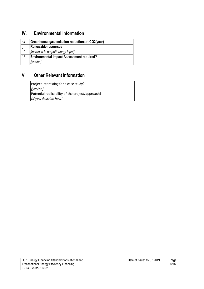## **IV. Environmental Information**

| 14 | Greenhouse gas emission reductions (t CO2/year)  |  |
|----|--------------------------------------------------|--|
|    | <b>Renewable resources</b>                       |  |
| 15 | [increase in output/energy input]                |  |
| 16 | <b>Environmental Impact Assessment required?</b> |  |
|    | [yes/no]                                         |  |

## **V. Other Relevant Information**

| Project interesting for a case study?            |
|--------------------------------------------------|
| $ {\prime}/\text{yes}/\text{no} $                |
| Potential replicability of the project/approach? |
| [if yes, describe how]                           |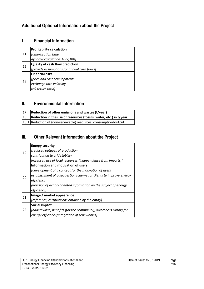## **Additional Optional Information about the Project**

### **I. Financial Information**

|    | <b>Profitability calculation</b>            |
|----|---------------------------------------------|
| 11 | [amortisation time                          |
|    | dynamic calculation: NPV, IRR]              |
| 12 | <b>Quality of cash flow prediction</b>      |
|    | [provide assumptions for annual cash flows] |
|    | <b>Financial risks</b>                      |
| 13 | [price and cost developments                |
|    | exchange rate volatility                    |
|    | risk return ratio]                          |

#### **II. Environmental Information**

| 17 | Reduction of other emissions and wastes $(t/year)$                 |
|----|--------------------------------------------------------------------|
| 18 | Reduction in the use of resources (fossils, water, etc.) in t/year |
|    | 18.1 Reduction of (non-renewable) resources: consumption/output    |

## **III. Other Relevant Information about the Project**

|    | <b>Energy security</b>                                             |
|----|--------------------------------------------------------------------|
| 19 | [reduced outages of production                                     |
|    | contribution to grid stability                                     |
|    | increased use of local resources (independence from imports)]      |
|    | Information and motivation of users                                |
|    | [development of a concept for the motivation of users              |
| 20 | establishment of a suggestion scheme for clients to improve energy |
|    | efficiency                                                         |
|    | provision of action-oriented information on the subject of energy  |
|    | efficiencyl                                                        |
| 21 | Image / market appearence                                          |
|    | [reference, certifications obtained by the entity]                 |
|    | <b>Social impact</b>                                               |
| 22 | [added value, benefits (for the community), awareness raising for  |
|    | energy efficiency/integration of renewables]                       |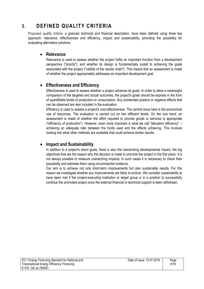## **3. DEFINED QUALITY CRITERIA**

Proposed quality criteria, a granular technical and financial description, have been defined using three key approach: relevance, effectiveness and efficiency, impact and sustainability, providing the possibility for evaluating alternative solutions.

#### **Relevance**

Relevance is used to assess whether the project fulfils an important function from a development perspective ("priority"), and whether its design is fundamentally suited to achieving the goals associated with the project ("validity of the results chain"). This means that an assessment is made of whether the project appropriately addresses an important development goal.

#### **Effectiveness and Efficiency**

Effectiveness is used to assess whether a project achieves its goals. In order to allow a meaningful comparison of the targeted and actual outcomes, the project's goals should be express in the form of quantifiable levels of production or consumption. Any unintended positive or negative effects that can be observed are also included in the evaluation.

Efficiency is used to assess a project's cost-effectiveness. The central issue here is the economical use of resources. The evaluation is carried out on two different levels. On the one hand, an assessment is made of whether the effort required to provide goods or services is appropriate ("efficiency of production"). However, even more important is what we call "allocation efficiency" – achieving an adequate ratio between the funds used and the effects achieving. This involves looking into what other methods are available that could achieve similar results.

#### **Impact and Sustainability**

In addition to a project's direct goals, there is also the overarching developmental impact, the big objectives that are the reason why the decision is made to promote the project in the first place. It is not always possible to measure overarching impacts. In such cases it is necessary to check their plausibility and estimate them using circumstantial evidence.

Our aim is to achieve not only short-term improvements but also sustainable results. For this reason we investigate whether any improvements are likely to endure. We consider sustainability to have been met if the project-executing institution or target group is in a position to successfully continue the promoted project once the external financial or technical support is been withdrawn.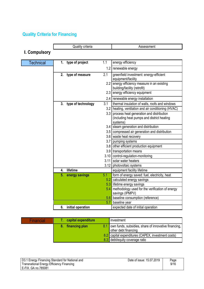## **Quality Criteria for Financing**

|                      |    | Quality criteria      |      | Assessment                                                                                         |
|----------------------|----|-----------------------|------|----------------------------------------------------------------------------------------------------|
| <b>I. Compulsory</b> |    |                       |      |                                                                                                    |
|                      |    |                       |      |                                                                                                    |
| <b>Technical</b>     |    | 1. type of project    | 1.1  | energy efficiency                                                                                  |
|                      |    |                       | 1.2  | renewable energy                                                                                   |
|                      |    | 2. type of measure    | 2.1  | greenfield investment: energy-efficient<br>equipment/facility                                      |
|                      |    |                       | 2.2  | energy efficiency measure in an existing<br>building/facility (retrofit)                           |
|                      |    |                       | 2.3  | energy efficiency equipment                                                                        |
|                      |    |                       | 2.4  | renewable energy installation                                                                      |
|                      |    | 3. type of technology | 3.1  | thermal insulation of walls, roofs and windows                                                     |
|                      |    |                       |      | 3.2 heating, ventilation and air conditioning (HVAC)                                               |
|                      |    |                       | 3.3  | process heat generation and distribution<br>(including heat pumps and district heating<br>systems) |
|                      |    |                       |      | 3.4 steam generation and distribution                                                              |
|                      |    |                       |      | 3.5 compressed air generation and distribution                                                     |
|                      |    |                       |      | 3.6 waste heat recovery                                                                            |
|                      |    |                       |      | 3.7 pumping systems                                                                                |
|                      |    |                       |      | 3.8 other efficient production equipment                                                           |
|                      |    |                       |      | 3.9   transportation means                                                                         |
|                      |    |                       |      | 3.10 control-regulation-monitoring                                                                 |
|                      |    |                       |      | 3.11 solar water heaters                                                                           |
|                      |    |                       | 3.12 | photovoltaic systems                                                                               |
|                      | 4. | lifetime              |      | equipment facility lifetime                                                                        |
|                      | 5. | energy savings        | 5.1  | form of energy saved: fuel, electricity, heat                                                      |
|                      |    |                       | 5.2  | calculated energy savings                                                                          |
|                      |    |                       |      | 5.3 lifetime energy savings                                                                        |
|                      |    |                       | 5.4  | methodology used for the verification of energy<br>savings (IPMPV)                                 |
|                      |    |                       |      | 5.6 baseline consumption (reference)                                                               |
|                      |    |                       | 5.7  | baseline year                                                                                      |
|                      | 6. | initial operation     |      | expected date of initial operation                                                                 |

| Financial | capital expenditure | investment                                                                         |
|-----------|---------------------|------------------------------------------------------------------------------------|
|           | 8. financing plan   | 8.1 own funds, subsidies, share of innovative financing,  <br>other debt financing |
|           |                     | 8.2 capital expenditures (CAPEX, investment costs)                                 |
|           |                     | 8.3 debt/equity coverage ratio                                                     |

| D3.1 Energy Financing Standard for National and | Date of issue: 15.07.2019 | Page |
|-------------------------------------------------|---------------------------|------|
| Transnational Energy Efficiency Financing       |                           | 9/16 |
| E-FIX. GA no.785081                             |                           |      |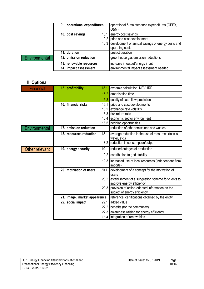|               | operational expenditures<br>9. | operational & maintenance expenditures (OPEX,<br>O&M)  |
|---------------|--------------------------------|--------------------------------------------------------|
|               | 10. cost savings               | 10.1 energy cost savings                               |
|               |                                | 10.2 price and cost development                        |
|               |                                | 10.3 development of annual savings of energy costs and |
|               |                                | operating costs                                        |
|               | 11. duration                   | project duration                                       |
| Environmental | 12. emission reduction         | greenhouse gas emission reductions                     |
|               | 13. renewable resources        | increase in output/energy input                        |
|               | 14. impact assessment          | environmental impact assessment needed                 |

## **II. Optional**

| <b>Financial</b> | 15. profitability             | 15.1 | dynamic calculation: NPV, IRR                                  |
|------------------|-------------------------------|------|----------------------------------------------------------------|
|                  |                               | 15.2 | amortisation time                                              |
|                  |                               | 15.3 | quality of cash flow prediction                                |
|                  | 16. financial risks           | 16.1 | price and cost developments                                    |
|                  |                               | 16.2 | exchange rate volatility                                       |
|                  |                               | 16.3 | risk return ratio                                              |
|                  |                               | 16.4 | economic sector environment                                    |
|                  |                               |      | 16.5 hedging opportunities                                     |
| Environmental    | 17. emission reduction        |      | reduction of other emissions and wastes                        |
|                  | 18. resources reduction       | 18.1 | average reduction in the use of resources (fossils,            |
|                  |                               |      | water, etc.)                                                   |
|                  |                               | 18.2 | reduction in consumption/output                                |
| Other relevant   | 19. energy security           | 19.1 | reduced outages of production                                  |
|                  |                               | 19.2 | contribution to grid stability                                 |
|                  |                               | 19.3 | increased use of local resources (independent from<br>imports) |
|                  | 20. motivation of users       | 20.1 | development of a concept for the motivation of<br>users        |
|                  |                               | 20.2 | establishment of a suggestion scheme for clients to            |
|                  |                               |      | improve energy efficiency                                      |
|                  |                               | 20.3 | provision of action-oriented information on the                |
|                  |                               |      | subject of energy efficiency                                   |
|                  | 21. image / market appearence |      | reference, certifications obtained by the entity               |
|                  | 22. social impact             | 22.1 | added value                                                    |
|                  |                               | 22.2 | benefits (for the community)                                   |
|                  |                               | 22.3 | awareness raising for energy efficiency                        |
|                  |                               | 22.4 | integration of renewables                                      |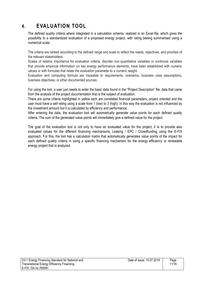## **4. EVALUATION TOOL**

The defined quality criteria where integrated in a calculation scheme, realized in an Excel-file, which gives the possibility to a standardized evaluation of a proposed energy project, with rating beeing summarised using a numerical scale.

The criteria are ranked according to the defined range and scale to reflect the needs, objectives, and priorities of the relevant stakeholders.

Scales of relative importance for evaluation criteria, discrete non-quantitative variables or continuos variables that provide empirical information on key energy performance elements, have been established with numeric values or with formulas that relate the evaluation parameter to a numeric weight.

Evaluation and computing formula are traceable to requirements, scenarios, business case assumptions, business objectives, or other documented sources.

For using the tool, a user just needs to enter the basic data found in the "Project Description" file, data that came from the analysis of the project documentation that is the subject of evaluation.

There are some criteria highlighted in yellow wich are correlated financial parameters, project oriented and the user must have a self rating using a scale from 1 (low) to 3 (high). In this way the evaluation is not influenced by the investment amount but it is calculated by efficiency and performance.

After entering the data, the evaluation tool will automatically generate value points for each defined quality criteria. The sum of the generated value points will immediately give a defined value for the project.

The goal of the evaluation tool is not only to have an evaluated value for the project, it is to provide also evaluated values for the different financing mechanisms, Leasing / EPC / Crowdfunding using the E-FIX approach. For this, the tool has a calculation matrix that automatically generates value points of the impact for each defined quality criteria in using a specific financing mechanism for the energy efficiency or renewable energy project that is analyzed.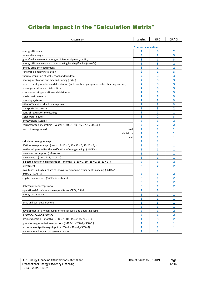## Criteria impact in the "Calculation Matrix"

| Assessment                                                                                   | Leasing             | <b>EPC</b>     | CF / CI                                   |
|----------------------------------------------------------------------------------------------|---------------------|----------------|-------------------------------------------|
|                                                                                              | * impact evaluation |                |                                           |
| energy efficiency                                                                            | 1                   | 3              | 2                                         |
| renewable energy                                                                             | 3                   | 2              | 3                                         |
| greenfield investment: energy-efficient equipment/facility                                   | 3                   | 1              | 3                                         |
| energy efficiency measure in an existing building/facility (retrofit)                        | 1                   | 3              | 2                                         |
| energy efficiency equipment                                                                  | 3                   | 1              | 2                                         |
| renewable energy installation                                                                | 2                   | 1              | 3                                         |
| thermal insulation of walls, roofs and windows                                               | 2                   | 3              | 3                                         |
| heating, ventilation and air conditioning (HVAC)                                             | 2                   | 3              | 3                                         |
| process heat generation and distribution (including heat pumps and district heating systems) | 2                   | 3              | 3                                         |
| steam generation and distribution                                                            | 2                   | 3              | 3                                         |
| compressed air generation and distribution                                                   | 2                   | 3              | 3                                         |
| waste heat recovery                                                                          | 2                   | 3              | 3                                         |
| pumping systems                                                                              | 2                   | 3              | 3                                         |
| other efficient production equipment                                                         | 2                   | 3              | 3                                         |
| transportation means                                                                         | 1                   | 3              | $\overline{\mathbf{2}}$                   |
| control-regulation-monitoring                                                                | 1                   | 1              | 1                                         |
| solar water heaters                                                                          | 3                   | 2              | 3                                         |
| photovoltaic systems                                                                         | 3                   | 1              | 3                                         |
| equipment facility lifetime (years: 5 -10 = 1, 10 - 15 = 2, 15-20 = 3;)                      | 3                   | 2              | 2                                         |
| form of energy saved:<br>fuel                                                                | 1                   | 1              | 1                                         |
| electricity                                                                                  | 1                   | 1              | 1                                         |
| heat                                                                                         | 1                   | 1              | 1                                         |
| calculated energy savings                                                                    | 1                   | 1              | 1                                         |
| lifetime energy savings (years: $5 - 10 = 1$ , $10 - 15 = 2$ , $15 - 20 = 3$ ;)              | 1                   | 1              | 1                                         |
| methodology used for the verification of energy savings (IPMPV)                              | 1                   | 1              | 1                                         |
| baseline consumption (reference)                                                             | 1                   | 1              | $\mathbf{1}$                              |
| baseline year (since $1=3$ , $2=2,3=1$ )                                                     | 1                   | 1              | 1                                         |
| expected date of initial operation (months: $5 - 10 = 1$ , $10 - 15 = 2$ , $15 - 20 = 3$ ;)  | 2                   | 1              | 3                                         |
| investment                                                                                   | 3                   | $\overline{2}$ | 2                                         |
| own funds, subsidies, share of innovative financing, other debt financing (<20%=1,           | 3                   |                |                                           |
| <40%=2,<60%=3)                                                                               |                     | 1              | 2                                         |
| capital expenditures (CAPEX, investment costs)                                               | 3                   | 1              | 2                                         |
|                                                                                              | 3<br>3              | 1<br>1         | 2<br>2                                    |
| debt/equity coverage ratio                                                                   |                     | 3              |                                           |
| operational & maintenance expenditures (OPEX, O&M)                                           | 1                   |                | 1                                         |
| energy cost savings                                                                          | 1                   | 1<br>1         | $\mathbf{1}$                              |
|                                                                                              | 1<br>3              | 3              | 1                                         |
| price and cost development                                                                   |                     |                | 1                                         |
| development of annual savings of energy costs and operating costs                            | 3<br>3              | 3              | $\mathbf{1}$                              |
| $($ <10%=1, <20%=2, <30%=3)                                                                  | 3                   | 1<br>1         | $\overline{\mathbf{2}}$<br>$\overline{2}$ |
|                                                                                              |                     |                |                                           |
| project duration (months: $5 - 10 = 1$ , $10 - 15 = 2$ , $15 - 20 = 3$ ;)                    | 1                   | 3              | $\overline{2}$                            |
| greenhouse gas emission reductions (>100=1, >200=2,>300=3)                                   | 1                   | 1              | $\mathbf{1}$                              |
| increase in output/energy input (<10%=1, <20%=2,<30%=3)                                      | 1                   | 1              | 1                                         |
| environmental impact assessment needed                                                       | 1                   | 1              | 1                                         |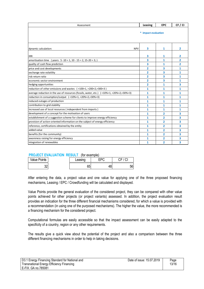| Assessment                                                                                                                                                                                                                                                                                                                                                                                                                                                                                                                                                                                                                                                                                                                                                                                                                                                                                                                                                                                                                                                                                                                                                                                                        | Leasing                   | <b>EPC</b> | CF / CI       |
|-------------------------------------------------------------------------------------------------------------------------------------------------------------------------------------------------------------------------------------------------------------------------------------------------------------------------------------------------------------------------------------------------------------------------------------------------------------------------------------------------------------------------------------------------------------------------------------------------------------------------------------------------------------------------------------------------------------------------------------------------------------------------------------------------------------------------------------------------------------------------------------------------------------------------------------------------------------------------------------------------------------------------------------------------------------------------------------------------------------------------------------------------------------------------------------------------------------------|---------------------------|------------|---------------|
|                                                                                                                                                                                                                                                                                                                                                                                                                                                                                                                                                                                                                                                                                                                                                                                                                                                                                                                                                                                                                                                                                                                                                                                                                   | * impact evaluation       |            |               |
| <b>NPV</b><br>dynamic calculation:                                                                                                                                                                                                                                                                                                                                                                                                                                                                                                                                                                                                                                                                                                                                                                                                                                                                                                                                                                                                                                                                                                                                                                                | 3                         | 1          | 2             |
| IRR                                                                                                                                                                                                                                                                                                                                                                                                                                                                                                                                                                                                                                                                                                                                                                                                                                                                                                                                                                                                                                                                                                                                                                                                               | 3                         | 1          | 2             |
| amortisation time (years: $5 - 10 = 1$ , $10 - 15 = 2$ , $15 - 20 = 3$ ;)                                                                                                                                                                                                                                                                                                                                                                                                                                                                                                                                                                                                                                                                                                                                                                                                                                                                                                                                                                                                                                                                                                                                         | 3                         | 1          | 2             |
| quality of cash flow prediction                                                                                                                                                                                                                                                                                                                                                                                                                                                                                                                                                                                                                                                                                                                                                                                                                                                                                                                                                                                                                                                                                                                                                                                   | 3                         | 1          | 2             |
| price and cost developments                                                                                                                                                                                                                                                                                                                                                                                                                                                                                                                                                                                                                                                                                                                                                                                                                                                                                                                                                                                                                                                                                                                                                                                       | 2                         | 3          | 1             |
| exchange rate volatility                                                                                                                                                                                                                                                                                                                                                                                                                                                                                                                                                                                                                                                                                                                                                                                                                                                                                                                                                                                                                                                                                                                                                                                          | 2                         | 3          | 1             |
| risk return ratio                                                                                                                                                                                                                                                                                                                                                                                                                                                                                                                                                                                                                                                                                                                                                                                                                                                                                                                                                                                                                                                                                                                                                                                                 | 2                         | 3          | 1             |
| economic sector environment                                                                                                                                                                                                                                                                                                                                                                                                                                                                                                                                                                                                                                                                                                                                                                                                                                                                                                                                                                                                                                                                                                                                                                                       | 2                         | 3          | 1             |
| hedging opportunities                                                                                                                                                                                                                                                                                                                                                                                                                                                                                                                                                                                                                                                                                                                                                                                                                                                                                                                                                                                                                                                                                                                                                                                             | 2                         | 1          | 3             |
| reduction of other emissions and wastes $(>100=1, >200=2, >300=3)$                                                                                                                                                                                                                                                                                                                                                                                                                                                                                                                                                                                                                                                                                                                                                                                                                                                                                                                                                                                                                                                                                                                                                | 1                         | 1          | 1             |
| average reduction in the use of resources (fossils, water, etc.) $($ <10%=1, <20%=2,<30%=3)                                                                                                                                                                                                                                                                                                                                                                                                                                                                                                                                                                                                                                                                                                                                                                                                                                                                                                                                                                                                                                                                                                                       | 1                         | 1          | 1             |
| reduction in consumption/output (<10%=1,<20%=2,<30%=3)                                                                                                                                                                                                                                                                                                                                                                                                                                                                                                                                                                                                                                                                                                                                                                                                                                                                                                                                                                                                                                                                                                                                                            | 1                         | 1          | 1             |
| reduced outages of production                                                                                                                                                                                                                                                                                                                                                                                                                                                                                                                                                                                                                                                                                                                                                                                                                                                                                                                                                                                                                                                                                                                                                                                     | 1                         | 1          | 1             |
| contribution to grid stability                                                                                                                                                                                                                                                                                                                                                                                                                                                                                                                                                                                                                                                                                                                                                                                                                                                                                                                                                                                                                                                                                                                                                                                    | 1                         | 1          | 1             |
| increased use of local resources (independent from imports)                                                                                                                                                                                                                                                                                                                                                                                                                                                                                                                                                                                                                                                                                                                                                                                                                                                                                                                                                                                                                                                                                                                                                       | 1                         | 1          | 1             |
| development of a concept for the motivation of users                                                                                                                                                                                                                                                                                                                                                                                                                                                                                                                                                                                                                                                                                                                                                                                                                                                                                                                                                                                                                                                                                                                                                              | 1                         | 2          | 3             |
| establishment of a suggestion scheme for clients to improve energy efficiency                                                                                                                                                                                                                                                                                                                                                                                                                                                                                                                                                                                                                                                                                                                                                                                                                                                                                                                                                                                                                                                                                                                                     | 1                         | 2          | 3             |
| provision of action-oriented information on the subject of energy efficiency                                                                                                                                                                                                                                                                                                                                                                                                                                                                                                                                                                                                                                                                                                                                                                                                                                                                                                                                                                                                                                                                                                                                      | 1                         | 2          | 3             |
| reference, certifications obtained by the entity<br>added value                                                                                                                                                                                                                                                                                                                                                                                                                                                                                                                                                                                                                                                                                                                                                                                                                                                                                                                                                                                                                                                                                                                                                   | 1                         | 2          | 3             |
| benefits (for the community)                                                                                                                                                                                                                                                                                                                                                                                                                                                                                                                                                                                                                                                                                                                                                                                                                                                                                                                                                                                                                                                                                                                                                                                      | 1<br>1                    | 2<br>2     | 3<br>3        |
| awareness raising for energy efficiency                                                                                                                                                                                                                                                                                                                                                                                                                                                                                                                                                                                                                                                                                                                                                                                                                                                                                                                                                                                                                                                                                                                                                                           | 1                         | 2          | 3             |
| integration of renewables                                                                                                                                                                                                                                                                                                                                                                                                                                                                                                                                                                                                                                                                                                                                                                                                                                                                                                                                                                                                                                                                                                                                                                                         | 1                         | 2          | 3             |
| <b>PROJECT EVALUATION RESULT</b> (for example)<br><b>Value Points</b><br>CF / CI<br><b>EPC</b><br>Leasing<br>32<br>65<br>48<br>56<br>After entering the data, a project value and one value for applying one of the three proposed financing<br>mechanisms, Leasing / EPC / Crowdfunding will be calculated and displayed.<br>Value Points provide the general evaluation of the considered project, they can be compared with other value<br>points achieved for other projects (or project variants) assessed. In addition, the project evaluation result<br>provides an indication for the three different financial mechanisms considered, for which a value is provided with<br>a recommendation (in using one of the purposed mechanisms). The higher the value, the more recommended is<br>a financing mechanism for the considered project.<br>Computational formulas are easily accessible so that the impact assessment can be easily adapted to the<br>specificity of a country, region or any other requirements.<br>The results give a quick view about the potential of the project and also a comparison between the three<br>different financing mechanisms in order to help in taking decisions. |                           |            |               |
| <b>Energy Financing Standard for National and</b><br>snational Energy Efficiency Financing                                                                                                                                                                                                                                                                                                                                                                                                                                                                                                                                                                                                                                                                                                                                                                                                                                                                                                                                                                                                                                                                                                                        | Date of issue: 15.07.2019 |            | Page<br>13/16 |

#### **PROJECT EVALUATION RESULT** (for example)

| <b>Value Points</b> | Leasing  | −n∩ | CF/CI |
|---------------------|----------|-----|-------|
| ሳሳ<br>JZ            | cг<br>ხე |     | 56    |